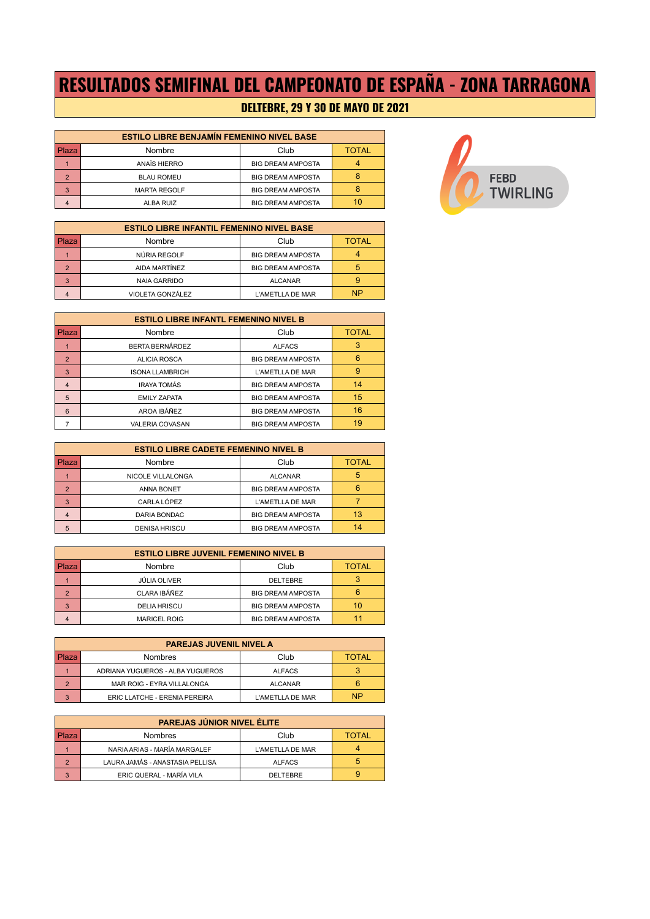# **RESULTADOS SEMIFINAL DEL CAMPEONATO DE ESPAÑA - ZONA TARRAGONA**

### **DELTEBRE, 29 Y 30 DE MAYO DE 2021**

| <b>ESTILO LIBRE BENJAMÍN FEMENINO NIVEL BASE</b> |                     |                          |              |
|--------------------------------------------------|---------------------|--------------------------|--------------|
| Plaza                                            | Nombre              | Club                     | <b>TOTAL</b> |
|                                                  | ANAÏS HIERRO        | <b>BIG DREAM AMPOSTA</b> |              |
| $\mathcal{P}$                                    | <b>BLAU ROMEU</b>   | <b>BIG DREAM AMPOSTA</b> |              |
| 3                                                | <b>MARTA REGOLF</b> | <b>BIG DREAM AMPOSTA</b> |              |
|                                                  | ALBA RUIZ           | <b>BIG DREAM AMPOSTA</b> | 10           |

| <b>ESTILO LIBRE INFANTIL FEMENINO NIVEL BASE</b> |                     |                          |              |
|--------------------------------------------------|---------------------|--------------------------|--------------|
| Plaza                                            | Nombre              | Club                     | <b>TOTAL</b> |
|                                                  | NÚRIA REGOLF        | <b>BIG DREAM AMPOSTA</b> |              |
| $\mathcal{P}$                                    | AIDA MARTÍNEZ       | <b>BIG DREAM AMPOSTA</b> | 5            |
| 3                                                | <b>NAIA GARRIDO</b> | <b>ALCANAR</b>           |              |
| $\overline{4}$                                   | VIOLETA GONZÁLEZ    | L'AMETLLA DE MAR         | ΝP           |



| <b>ESTILO LIBRE INFANTL FEMENINO NIVEL B</b> |                        |                          |              |
|----------------------------------------------|------------------------|--------------------------|--------------|
| Plaza                                        | Nombre                 | Club                     | <b>TOTAL</b> |
|                                              | BERTA BERNÁRDEZ        | <b>ALFACS</b>            |              |
| $\overline{2}$                               | <b>ALICIA ROSCA</b>    | <b>BIG DREAM AMPOSTA</b> | 6            |
| 3                                            | <b>ISONA LLAMBRICH</b> | L'AMETLLA DE MAR         | 9            |
| $\overline{4}$                               | <b>IRAYA TOMÁS</b>     | <b>BIG DREAM AMPOSTA</b> | 14           |
| $5\overline{5}$                              | <b>EMILY ZAPATA</b>    | <b>BIG DREAM AMPOSTA</b> | 15           |
| 6                                            | AROA IBÁÑEZ            | <b>BIG DREAM AMPOSTA</b> | 16           |
|                                              | <b>VALERIA COVASAN</b> | <b>BIG DREAM AMPOSTA</b> | 19           |

| <b>ESTILO LIBRE CADETE FEMENINO NIVEL B</b> |                      |                          |              |
|---------------------------------------------|----------------------|--------------------------|--------------|
| Plaza                                       | Nombre               | Club                     | <b>TOTAL</b> |
|                                             | NICOLE VILLALONGA    | <b>ALCANAR</b>           |              |
| $\mathcal{P}$                               | <b>ANNA BONET</b>    | <b>BIG DREAM AMPOSTA</b> |              |
| 3                                           | CARLA LÓPEZ          | L'AMETLLA DE MAR         |              |
| $\overline{4}$                              | DARIA BONDAC         | <b>BIG DREAM AMPOSTA</b> | 13           |
| 5                                           | <b>DENISA HRISCU</b> | <b>BIG DREAM AMPOSTA</b> | 14           |

| <b>ESTILO LIBRE JUVENIL FEMENINO NIVEL B</b> |                     |                          |              |
|----------------------------------------------|---------------------|--------------------------|--------------|
| Plaza                                        | Nombre              | Club                     | <b>TOTAL</b> |
|                                              | JÚLIA OLIVER        | DELTEBRE                 |              |
| $\mathcal{P}$                                | CLARA IBÁÑEZ        | <b>BIG DREAM AMPOSTA</b> |              |
| 3                                            | <b>DELIA HRISCU</b> | <b>BIG DREAM AMPOSTA</b> | 10           |
| $\overline{4}$                               | <b>MARICEL ROIG</b> | <b>BIG DREAM AMPOSTA</b> |              |

| <b>PAREJAS JUVENIL NIVEL A</b> |                                  |                  |              |
|--------------------------------|----------------------------------|------------------|--------------|
| l Plaza                        | Nombres                          | Club             | <b>TOTAL</b> |
|                                | ADRIANA YUGUEROS - ALBA YUGUEROS | <b>ALFACS</b>    |              |
| ◠                              | MAR ROIG - EYRA VILLALONGA       | <b>ALCANAR</b>   |              |
| $\overline{a}$                 | ERIC LLATCHE - ERENIA PEREIRA    | L'AMETLLA DE MAR | <b>NP</b>    |

| PAREJAS JÚNIOR NIVEL ÉLITE |                                 |                  |              |
|----------------------------|---------------------------------|------------------|--------------|
| Plaza                      | <b>Nombres</b>                  | Club             | <b>TOTAL</b> |
|                            | NARIA ARIAS - MARÍA MARGALEF    | L'AMETLLA DE MAR |              |
| $\Omega$                   | LAURA JAMÁS - ANASTASIA PELLISA | <b>ALFACS</b>    |              |
| $\mathbf{3}$               | ERIC QUERAL - MARÍA VILA        | DELTEBRE         |              |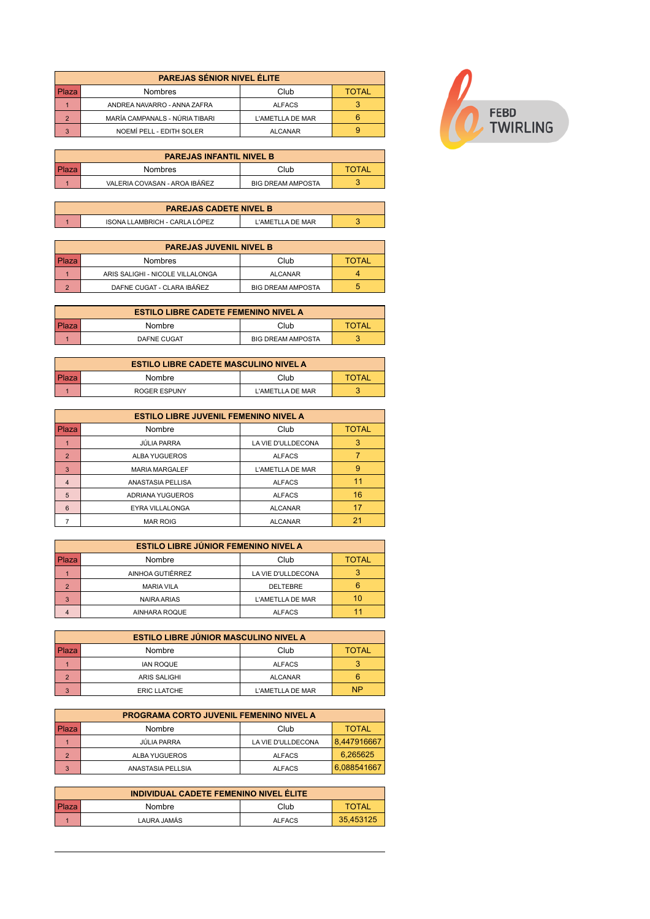| <b>PAREJAS SÉNIOR NIVEL ÉLITE</b> |                                |                  |              |
|-----------------------------------|--------------------------------|------------------|--------------|
| Plaza                             | <b>Nombres</b>                 | Club             | <b>TOTAL</b> |
|                                   | ANDREA NAVARRO - ANNA ZAFRA    | <b>ALFACS</b>    |              |
|                                   | MARÍA CAMPANALS - NÚRIA TIBARI | L'AMETLLA DE MAR |              |
|                                   | NOEMÍ PELL - EDITH SOLER       | <b>ALCANAR</b>   |              |

| <b>PAREJAS INFANTIL NIVEL B</b> |                               |                          |       |
|---------------------------------|-------------------------------|--------------------------|-------|
| l Plaza                         | <b>Nombres</b>                | Club                     | TOTAL |
|                                 | VALERIA COVASAN - AROA IBÁÑEZ | <b>BIG DREAM AMPOSTA</b> |       |

| <b>PAREJAS CADETE NIVEL B</b> |                               |                     |  |
|-------------------------------|-------------------------------|---------------------|--|
|                               | ISONA LLAMBRICH - CARLA LÒPEZ | I 'AMETI I A DE MAR |  |

| <b>PAREJAS JUVENIL NIVEL B</b> |                                  |                          |              |
|--------------------------------|----------------------------------|--------------------------|--------------|
| Plaza                          | Nombres                          | Club                     | <b>TOTAL</b> |
|                                | ARIS SALIGHI - NICOLE VILLALONGA | <b>ALCANAR</b>           |              |
|                                | DAFNE CUGAT - CLARA IBÁÑEZ       | <b>BIG DREAM AMPOSTA</b> |              |

| <b>ESTILO LIBRE CADETE FEMENINO NIVEL A</b> |                    |                          |       |
|---------------------------------------------|--------------------|--------------------------|-------|
| l Plaza                                     | Nombre             | Club                     | TOTAL |
|                                             | <b>DAFNE CUGAT</b> | <b>BIG DREAM AMPOSTA</b> |       |

| <b>ESTILO LIBRE CADETE MASCULINO NIVEL A</b> |              |                  |       |
|----------------------------------------------|--------------|------------------|-------|
|                                              | Nombre       | Club             | TOTAL |
|                                              | ROGER ESPUNY | L'AMETLLA DE MAR |       |

| <b>ESTILO LIBRE JUVENIL FEMENINO NIVEL A</b> |                        |                    |              |
|----------------------------------------------|------------------------|--------------------|--------------|
| Plaza                                        | Nombre                 | Club               | <b>TOTAL</b> |
|                                              | <b>JÚLIA PARRA</b>     | LA VIE D'ULLDECONA | 3            |
| $\overline{2}$                               | ALBA YUGUEROS          | <b>ALFACS</b>      |              |
| 3                                            | <b>MARIA MARGALEF</b>  | L'AMETLLA DE MAR   | 9            |
| $\overline{4}$                               | ANASTASIA PELLISA      | <b>ALFACS</b>      |              |
| 5                                            | ADRIANA YUGUEROS       | <b>ALFACS</b>      | 16           |
| 6                                            | <b>EYRA VILLALONGA</b> | <b>ALCANAR</b>     |              |
|                                              | <b>MAR ROIG</b>        | <b>ALCANAR</b>     |              |

| <b>ESTILO LIBRE JÚNIOR FEMENINO NIVEL A</b> |                    |                    |              |
|---------------------------------------------|--------------------|--------------------|--------------|
| Plaza                                       | Nombre             | Club               | <b>TOTAL</b> |
|                                             | AINHOA GUTIÉRREZ   | LA VIE D'ULLDECONA |              |
| $\mathcal{P}$                               | <b>MARIA VILA</b>  | <b>DELTEBRE</b>    |              |
| 3                                           | <b>NAIRA ARIAS</b> | L'AMETLLA DE MAR   | 10           |
|                                             | AINHARA ROQUE      | <b>ALFACS</b>      |              |

| <b>ESTILO LIBRE JÚNIOR MASCULINO NIVEL A</b> |                     |                  |              |
|----------------------------------------------|---------------------|------------------|--------------|
| l Plaza                                      | Nombre              | Club             | <b>TOTAL</b> |
|                                              | <b>IAN ROQUE</b>    | <b>ALFACS</b>    |              |
| $\Omega$                                     | <b>ARIS SALIGHI</b> | <b>ALCANAR</b>   |              |
| $\circ$                                      | <b>ERIC LLATCHE</b> | L'AMETLLA DE MAR | <b>NP</b>    |

| <b>PROGRAMA CORTO JUVENIL FEMENINO NIVEL A</b> |                   |                    |              |
|------------------------------------------------|-------------------|--------------------|--------------|
| Plaza                                          | Nombre            | Club               | <b>TOTAL</b> |
|                                                | JÚLIA PARRA       | LA VIE D'ULLDECONA | 8.447916667  |
| $\mathbf{\Omega}$                              | ALBA YUGUEROS     | <b>ALFACS</b>      | 6.265625     |
| 3                                              | ANASTASIA PELLSIA | <b>ALFACS</b>      | 6,088541667  |

| INDIVIDUAL CADETE FEMENINO NIVEL ÉLITE |             |               |              |
|----------------------------------------|-------------|---------------|--------------|
|                                        | Nombre      | Club          | <b>TOTAL</b> |
|                                        | LAURA JAMÁS | <b>ALFACS</b> | 35,453125    |

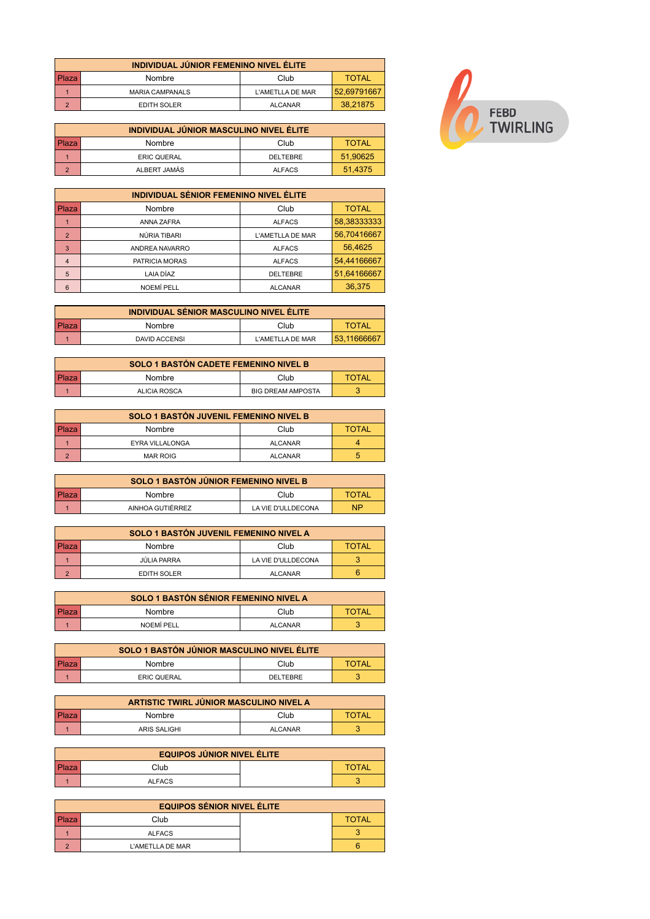| INDIVIDUAL JÚNIOR FEMENINO NIVEL ÉLITE |                        |                  |             |
|----------------------------------------|------------------------|------------------|-------------|
| Plaza                                  | Nombre                 | Club             | TOTAL       |
|                                        | <b>MARIA CAMPANALS</b> | L'AMETLLA DE MAR | 52,69791667 |
| $\sim$                                 | EDITH SOLER            | <b>ALCANAR</b>   | 38,21875    |

| INDIVIDUAL JÚNIOR MASCULINO NIVEL ÉLITE |                    |                 |              |
|-----------------------------------------|--------------------|-----------------|--------------|
| Plaza                                   | Nombre             | Club            | <b>TOTAL</b> |
|                                         | <b>ERIC QUERAL</b> | <b>DELTEBRE</b> | 51.90625     |
| $\Omega$                                | ALBERT JAMÁS       | <b>ALFACS</b>   | 51.4375      |

| <b>INDIVIDUAL SÉNIOR FEMENINO NIVEL ÉLITE</b> |                   |                  |              |
|-----------------------------------------------|-------------------|------------------|--------------|
| l Plaza                                       | Nombre            | Club             | <b>TOTAL</b> |
|                                               | ANNA ZAFRA        | <b>ALFACS</b>    | 58,38333333  |
| $\overline{2}$                                | NÚRIA TIBARI      | L'AMETLLA DE MAR | 56,70416667  |
| $\overline{3}$                                | ANDREA NAVARRO    | <b>ALFACS</b>    | 56,4625      |
| $\overline{4}$                                | PATRICIA MORAS    | <b>ALFACS</b>    | 54,44166667  |
| $5\overline{5}$                               | LAIA DÍAZ         | <b>DELTEBRE</b>  | 51,64166667  |
| 6                                             | <b>NOEMÍ PELL</b> | <b>ALCANAR</b>   | 36.375       |

| INDIVIDUAL SÉNIOR MASCULINO NIVEL ÉLITE |                      |                  |              |
|-----------------------------------------|----------------------|------------------|--------------|
| l Plaza                                 | Nombre               | Club             | <b>TOTAL</b> |
|                                         | <b>DAVID ACCENSI</b> | L'AMETLLA DE MAR | 53,11666667  |

| SOLO 1 BASTÓN CADETE FEMENINO NIVEL B |              |                          |              |
|---------------------------------------|--------------|--------------------------|--------------|
| l Plaza                               | Nombre       | Club                     | <b>TOTAL</b> |
|                                       | ALICIA ROSCA | <b>BIG DREAM AMPOSTA</b> |              |

| SOLO 1 BASTÓN JUVENIL FEMENINO NIVEL B |                        |                |              |
|----------------------------------------|------------------------|----------------|--------------|
| Plaza                                  | Nombre                 | Club           | <b>TOTAL</b> |
|                                        | <b>EYRA VILLALONGA</b> | <b>ALCANAR</b> |              |
|                                        | <b>MAR ROIG</b>        | <b>ALCANAR</b> |              |

|         | SOLO 1 BASTÓN JÚNIOR FEMENINO NIVEL B |                    |              |
|---------|---------------------------------------|--------------------|--------------|
| l Plaza | Nombre                                | Club               | <b>TOTAL</b> |
|         | AINHOA GUTIÉRREZ                      | LA VIE D'ULLDECONA | <b>NP</b>    |

|       | SOLO 1 BASTÓN JUVENIL FEMENINO NIVEL A |                    |              |
|-------|----------------------------------------|--------------------|--------------|
| Plaza | Nombre                                 | Club               | <b>TOTAL</b> |
|       | JÚLIA PARRA                            | LA VIE D'ULLDECONA |              |
| ◠     | EDITH SOLER                            | <b>ALCANAR</b>     |              |

|                      | SOLO 1 BASTÓN SÉNIOR FEMENINO NIVEL A |                |              |
|----------------------|---------------------------------------|----------------|--------------|
| l Plaza <sup>i</sup> | Nombre                                | Club           | <b>TOTAL</b> |
|                      | NOEMÍ PELL                            | <b>ALCANAR</b> |              |

|       | SOLO 1 BASTÓN JÚNIOR MASCULINO NIVEL ÉLITE |                 |              |  |  |  |  |  |  |  |  |  |  |  |
|-------|--------------------------------------------|-----------------|--------------|--|--|--|--|--|--|--|--|--|--|--|
| Plaza | Nombre                                     | Club            | <b>TOTAL</b> |  |  |  |  |  |  |  |  |  |  |  |
|       | <b>ERIC QUERAL</b>                         | <b>DELTEBRE</b> |              |  |  |  |  |  |  |  |  |  |  |  |

|         | ARTISTIC TWIRL JÚNIOR MASCULINO NIVEL A |                |       |  |  |  |  |  |  |  |  |  |  |  |
|---------|-----------------------------------------|----------------|-------|--|--|--|--|--|--|--|--|--|--|--|
| l Plaza | Nombre                                  | Club           | TOTAL |  |  |  |  |  |  |  |  |  |  |  |
|         | ARIS SALIGHI                            | <b>ALCANAR</b> |       |  |  |  |  |  |  |  |  |  |  |  |

|         | <b>EQUIPOS JÚNIOR NIVEL ÉLITE</b> |  |              |  |  |  |  |  |  |  |  |  |  |
|---------|-----------------------------------|--|--------------|--|--|--|--|--|--|--|--|--|--|
| l Plaza | Club                              |  | <b>TOTAL</b> |  |  |  |  |  |  |  |  |  |  |
|         | <b>ALFACS</b>                     |  |              |  |  |  |  |  |  |  |  |  |  |

|       | <b>EQUIPOS SÉNIOR NIVEL ÉLITE</b> |  |              |  |  |  |  |  |  |  |  |  |
|-------|-----------------------------------|--|--------------|--|--|--|--|--|--|--|--|--|
| Plaza | Club                              |  | <b>TOTAL</b> |  |  |  |  |  |  |  |  |  |
|       | <b>ALFACS</b>                     |  |              |  |  |  |  |  |  |  |  |  |
|       | L'AMETLLA DE MAR                  |  |              |  |  |  |  |  |  |  |  |  |

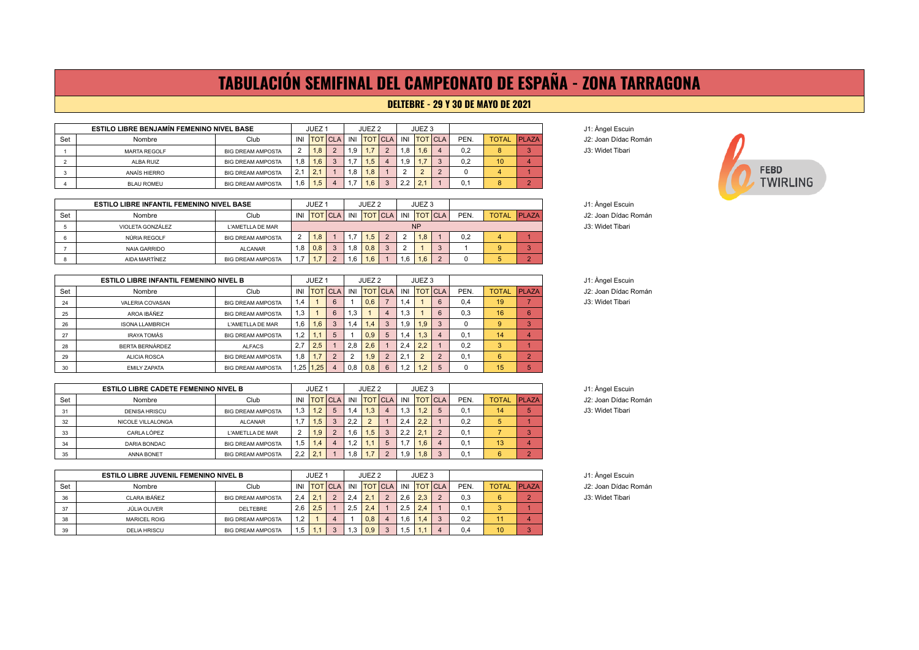## **TABULACIÓN SEMIFINAL DEL CAMPEONATO DE ESPAÑA - ZONA TARRAGONA**

#### **DELTEBRE - 29 Y 30 DE MAYO DE 2021**

| <b>ESTILO LIBRE BENJAMÍN FEMENINO NIVEL BASE</b> |                     |                          | JUEZ <sub>1</sub> |                |  | JUEZ <sub>2</sub> |     |                | JUEZ <sub>3</sub> |             |  |      |                 |              | J1: Angel Escuin  |
|--------------------------------------------------|---------------------|--------------------------|-------------------|----------------|--|-------------------|-----|----------------|-------------------|-------------|--|------|-----------------|--------------|-------------------|
| Set                                              | Nombre              | Club                     | INI               | <b>TOT</b> CLA |  | INI               |     | <b>TOT CLA</b> |                   | INI TOT CLA |  | PEN. | <b>TOTAL</b>    | <b>PLAZA</b> | J2: Joan Dídac Ro |
|                                                  | <b>MARTA REGOLF</b> | <b>BIG DREAM AMPOSTA</b> | $\overline{2}$    | 1.8            |  | 1.9               |     |                | 1.8               | 1,6         |  | 0.2  |                 |              | J3: Widet Tibari  |
|                                                  | ALBA RUIZ           | <b>BIG DREAM AMPOSTA</b> | 1.8               | 1.6            |  | 1.7               | 1.5 |                | 1.9               |             |  | 0.2  | 10 <sup>1</sup> |              |                   |
|                                                  | ANAÏS HIERRO        | <b>BIG DREAM AMPOSTA</b> | 2.1               | 12.1           |  | 1.8               | 1.8 |                |                   | $\sqrt{2}$  |  |      |                 |              |                   |
|                                                  | <b>BLAU ROMEU</b>   | <b>BIG DREAM AMPOSTA</b> | 1.6               | 1.5            |  |                   |     |                | 2.2               | 2.1         |  | 0.1  |                 |              |                   |

|     | <b>ESTILO LIBRE INFANTIL FEMENINO NIVEL BASE</b> |                          | JUEZ <sub>1</sub> |                | JUEZ <sub>2</sub> |     |     | JUEZ <sub>3</sub> |     |                |  |      |              |              |
|-----|--------------------------------------------------|--------------------------|-------------------|----------------|-------------------|-----|-----|-------------------|-----|----------------|--|------|--------------|--------------|
| Set | Nombre                                           | Club                     |                   | INI TOT CLA    |                   | INI |     | <b>TOT</b> CLA    | INI | <b>TOT</b> CLA |  | PEN. | <b>TOTAL</b> | <b>PLAZA</b> |
|     | VIOLETA GONZÁLEZ                                 | L'AMETLLA DE MAR         |                   | <b>NP</b>      |                   |     |     |                   |     |                |  |      |              |              |
|     | NÚRIA REGOLF                                     | <b>BIG DREAM AMPOSTA</b> | -2                | 1.8            |                   |     | 1.5 |                   |     | 1.8            |  | 0.2  |              |              |
|     | <b>NAIA GARRIDO</b>                              | <b>ALCANAR</b>           | . .8              | 0,8            |                   | 6.1 | 0.8 |                   |     |                |  |      |              |              |
|     | AIDA MARTÍNEZ                                    | <b>BIG DREAM AMPOSTA</b> |                   | 4 <sub>7</sub> |                   | .6  | .6  |                   | . 6 | 1.6            |  |      |              |              |

|     | <b>ESTILO LIBRE INFANTIL FEMENINO NIVEL B</b> |                          | JUEZ <sub>1</sub> |                 |             | JUEZ <sub>2</sub> |                 |                | JUEZ <sub>3</sub> |                  |          |      |    |                    | J1: Angel Escuin     |
|-----|-----------------------------------------------|--------------------------|-------------------|-----------------|-------------|-------------------|-----------------|----------------|-------------------|------------------|----------|------|----|--------------------|----------------------|
| Set | Nombre                                        | Club                     |                   |                 | INI TOTICLA |                   | INI   TOT   CLA |                |                   | INI TOT CLA      |          | PEN. |    | <b>TOTAL PLAZA</b> | J2: Joan Dídac Román |
| 24  | VALERIA COVASAN                               | <b>BIG DREAM AMPOSTA</b> | 1.4               |                 | 6           |                   | 0.6             |                | .4                |                  | 6        | 0.4  | 19 |                    | J3: Widet Tibari     |
| 25  | AROA IBÁÑEZ                                   | <b>BIG DREAM AMPOSTA</b> | 1.3               |                 | 6           | 1.3               |                 |                | l.3               |                  | 6        | 0.3  | 16 | 6                  |                      |
| 26  | <b>ISONA LLAMBRICH</b>                        | L'AMETLLA DE MAR         | 1,6               | 1.6             |             | 1.4               | 1.4             | 3              | ۱.9               | 1.9 <sup>°</sup> | 3        |      | g  | $\Omega$           |                      |
|     | IRAYA TOMÁS                                   | <b>BIG DREAM AMPOSTA</b> | 1.2               |                 |             |                   | 0.9             | -5             | 1.4               | 1,3              |          | 0.1  | 14 |                    |                      |
| 28  | BERTA BERNÁRDEZ                               | ALFACS                   | 2.7               | 2.5             |             | 2.8               | 2.6             |                | 2.4               | 2.2              |          | 0.2  |    |                    |                      |
| 29  | <b>ALICIA ROSCA</b>                           | <b>BIG DREAM AMPOSTA</b> | 1,8               |                 | າ           | $\Omega$          | 1.9             | $\overline{2}$ |                   |                  | $\Omega$ | 0.1  | 6  | $\sim$             |                      |
| 30  | <b>FMILY ZAPATA</b>                           | <b>BIG DREAM AMPOSTA</b> |                   | $1.25$   $1.25$ |             | 0,8               | 0.8             | 6              | .2                | $1.2^{\circ}$    | 5        |      | 15 |                    |                      |

|     | <b>ESTILO LIBRE CADETE FEMENINO NIVEL B</b> |                          |        | JUEZ <sup>1</sup> |                |     | JUEZ 2      |             |     | JUEZ <sub>3</sub> |        |      |              |              | J1: Angel Escuin     |
|-----|---------------------------------------------|--------------------------|--------|-------------------|----------------|-----|-------------|-------------|-----|-------------------|--------|------|--------------|--------------|----------------------|
| Set | Nombre                                      | Club                     | INI    |                   | <b>TOT CLA</b> |     | INI TOT CLA |             |     | INI TOT CLA       |        | PEN. | <b>TOTAL</b> | <b>PLAZA</b> | J2: Joan Dídac Román |
| 31  | <b>DENISA HRISCU</b>                        | <b>BIG DREAM AMPOSTA</b> | 1,3    | 1.2               |                | 1,4 | 1.3         |             | 1.3 |                   |        | 0.1  | 14           |              | J3: Widet Tibari     |
| 32  | NICOLE VILLALONGA                           | <b>ALCANAR</b>           | , 1, 1 | 1.5 <sub>1</sub>  |                | 2.2 |             |             | 2.4 | 2.2               |        | 0.2  |              |              |                      |
| 33  | CARLA LÓPEZ                                 | L'AMETLLA DE MAR         |        | 1.9 <sup>°</sup>  |                | 1,6 | 1.5         | - 3         | 2.2 |                   | $\sim$ | 0.1  |              |              |                      |
| 34  | DARIA BONDAC                                | <b>BIG DREAM AMPOSTA</b> | 1,5    | 1.4 <sup>7</sup>  |                | 1,2 |             | $\mathbf b$ |     | 1.6               |        | 0.1  | 13           |              |                      |
| 35  | ANNA BONET                                  | <b>BIG DREAM AMPOSTA</b> | 2.2    | $\Omega$          |                | 1,8 |             |             | l.9 | 1.8               | $\sim$ |      |              |              |                      |

|     | <b>ESTILO LIBRE JUVENIL FEMENINO NIVEL B</b> |                          |     |             |                |      | JUEZ <sub>2</sub> |                         |      | JUEZ <sub>3</sub> |                              |      |                    |  | J1: Angel Escui  |
|-----|----------------------------------------------|--------------------------|-----|-------------|----------------|------|-------------------|-------------------------|------|-------------------|------------------------------|------|--------------------|--|------------------|
| Set | Nombre                                       | Club                     |     | INI TOT CLA |                |      |                   |                         |      |                   | INI ITOTICLA I INI ITOTICLAI | PEN. | <b>TOTAL PLAZA</b> |  | J2: Joan Dídac   |
| 36  | CLARA IBÁÑEZ                                 | <b>BIG DREAM AMPOSTA</b> | 2.4 | 2.1         | $\overline{2}$ | 2.4  | 21<br><u>.</u>    | $\overline{2}$          | 2.6  | 2.3               | $\Omega$                     | 0.3  | 6                  |  | J3: Widet Tibari |
| 37  | JÚLIA OLIVER                                 | DELTEBRE                 | 2.6 | 2.5         |                | 2.5  | 2.4               |                         | 2.5  | 2.4               |                              | 0.1  |                    |  |                  |
| 38  | <b>MARICEL ROIG</b>                          | <b>BIG DREAM AMPOSTA</b> | 1,2 |             |                |      | 0.8               | $\overline{\mathbf{4}}$ | 1.6  | 4 <sup>1</sup>    | $\Omega$                     | 0.2  |                    |  |                  |
| 39  | <b>DELIA HRISCU</b>                          | <b>BIG DREAM AMPOSTA</b> | 1.5 |             |                | د. ا | 0.9               | 3                       | ن. ا |                   |                              | 0.4  | 10                 |  |                  |

J2: Joan Dídac Román



J2: Joan Dídac Román

**J1: Àngel Escuin** 

**J1: Àngel Escuin** J2: Joan Dídac Román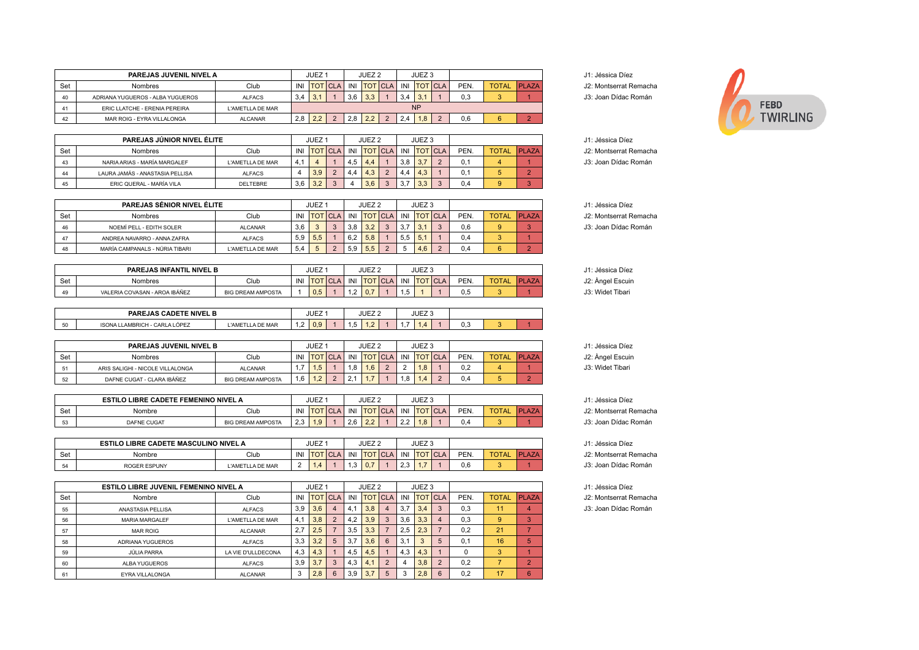|     | PAREJAS JUVENIL NIVEL A          |                  |     | JUEZ <sub>1</sub> |     | JUEZ 2      |     | JUEZ <sub>3</sub> |             |      |              |              | J1: Jéssica Díez  |
|-----|----------------------------------|------------------|-----|-------------------|-----|-------------|-----|-------------------|-------------|------|--------------|--------------|-------------------|
| Set | Nombres                          | Club             | INI | <b>TOT ICLA</b>   |     | INI TOT CLA |     |                   | INI TOT CLA | PEN. | <b>TOTAL</b> | <b>PLAZA</b> | J2: Montserrat Re |
| 40  | ADRIANA YUGUEROS - ALBA YUGUEROS | <b>ALFACS</b>    | 3.4 |                   | 3.6 | 3.3         | 3.4 | 3.1               |             | 0.3  |              |              | J3: Joan Dídac R  |
|     | ERIC LLATCHE - ERENIA PEREIRA    | L'AMETLLA DE MAR |     |                   |     |             |     | <b>NP</b>         |             |      |              |              |                   |
| 42  | MAR ROIG - EYRA VILLALONGA       | <b>ALCANAR</b>   | 2.8 | 2.2               | 2,8 | 2,2         | 2.4 | 1.8               |             | 0.6  |              |              |                   |

|     | PAREJAS JÚNIOR NIVEL ÉLITE      |                  |          | JUEZ <sup>1</sup> |     | JUEZ 2 |             |     | JUEZ <sub>3</sub> |      |              |              | J1: Jéssica Díez  |
|-----|---------------------------------|------------------|----------|-------------------|-----|--------|-------------|-----|-------------------|------|--------------|--------------|-------------------|
| Set | <b>Nombres</b>                  | Club             | INI      | <b>TOT CLA</b>    |     |        | INI TOTICLA |     | INI TOT CLA       | PEN. | <b>TOTAL</b> | <b>PLAZA</b> | J2: Montserrat Re |
|     | NARIA ARIAS - MARÍA MARGALEF    | L'AMETLLA DE MAR | $\Delta$ |                   | 4.5 | 4.4    |             | 3,8 | 3.7               |      |              |              | J3: Joan Dídac R  |
|     | LAURA JAMÁS - ANASTASIA PELLISA | <b>ALFACS</b>    |          | 3.9               | 4.4 | 4.3    |             | 4.4 | 4.3               |      |              |              |                   |
|     | ERIC QUERAL - MARÍA VILA        | <b>DELTEBRE</b>  | 3,6      | 3,2               |     | 3,6    |             | 3,7 | 3,3               | 0.4  |              |              |                   |

|     | <b>PAREJAS SÉNIOR NIVEL ÉLITE</b> |                  |     | JUEZ <sub>1</sub> |          |     | JUEZ <sub>2</sub> |              |     | JUEZ <sub>3</sub> |          |      |              |              |
|-----|-----------------------------------|------------------|-----|-------------------|----------|-----|-------------------|--------------|-----|-------------------|----------|------|--------------|--------------|
| Set | <b>Nombres</b>                    | Club             | INI | <b>TOT CLA</b>    |          | INI | <b>TOT</b> CLA    |              | INI | <b>TOT CLA</b>    |          | PEN. | <b>TOTAL</b> | <b>PLAZA</b> |
| 46  | NOEMÍ PELL - EDITH SOLER          | <b>ALCANAR</b>   | 3.6 | $\sim$            | $\Omega$ | 3.8 | 3.2               | $\mathbf{r}$ | 3.7 | 3.1               | $\Omega$ | 0.6  | 9            |              |
| 47  | ANDREA NAVARRO - ANNA ZAFRA       | <b>ALFACS</b>    | 5.9 | 5.5               |          | 6.2 | 5.8               |              | 5.5 | 5.1               |          | 0.4  |              |              |
| 48  | MARÍA CAMPANALS - NÚRIA TIBARI    | L'AMETLLA DE MAR | 5.4 |                   |          | 5.9 | 5.5               | $\Omega$     |     | 4.6               | $\Omega$ | 0.4  | 6            |              |

|     | PAREJAS INFANTIL NIVEL B      |                          |     | <b>JUEZ</b> |                |     | JUEZ <sub>2</sub> |             |      | JUEZ <sub>3</sub> |             |      |                 | Jéssica Díez               |
|-----|-------------------------------|--------------------------|-----|-------------|----------------|-----|-------------------|-------------|------|-------------------|-------------|------|-----------------|----------------------------|
| Set | Nombres                       | Club                     | INI |             | <b>IULICLA</b> | INI | <b>TOT</b>        | <b>ICLA</b> | INI  | <b>TOT</b>        | <b>ICLA</b> | PEN. | TO <sub>1</sub> | $\sim$<br>J2: Angel Escuin |
| 49  | VALERIA COVASAN - AROA IBÁÑEZ | <b>BIG DREAM AMPOSTA</b> |     | 0.5         |                |     | 0.7               |             | ن. ا |                   |             |      |                 | J3: Widet Tibari           |

|           | <b>NIVEL B</b><br><b>PAREJAS</b><br><b>CADETE</b> |                         |                                    | <b>JUEZ</b> |      | JUEZ <sub>2</sub> |  | JUEZ <sub>3</sub> |     |  |
|-----------|---------------------------------------------------|-------------------------|------------------------------------|-------------|------|-------------------|--|-------------------|-----|--|
| $-$<br>50 | CARLA LÓPEZ<br><b>ISONA LLAMBRICH</b><br>. .      | <b>L'AMETLLA DE MAR</b> | $\sim$<br>$\overline{\phantom{a}}$ | 0.9         | ن. ا | .                 |  |                   | v.J |  |

|     | <b>PAREJAS JUVENIL NIVEL B</b>   |                          |     | JUEZ <sup>-</sup>          |              | JUEZ <sub>2</sub> |        |        | JUEZ <sub>3</sub> |                     |      |              |              | J1: Jéssica Díez |
|-----|----------------------------------|--------------------------|-----|----------------------------|--------------|-------------------|--------|--------|-------------------|---------------------|------|--------------|--------------|------------------|
| Set | Nombres                          | Club                     | INI | <b>TOT CLA</b>             | INI          | <b>TOT</b> CLA    |        | INI    |                   | $ $ TOT $ $ CLA $ $ | PEN. | <b>TOTAL</b> | <b>PLAZA</b> | J2: Angel Escuin |
|     | ARIS SALIGHI - NICOLE VILLALONGA | <b>ALCANAR</b>           |     | .5                         | 1.8          | 1.6               | $\sim$ | $\sim$ | 1.8               |                     | 0.2  |              |              | J3: Widet Tibari |
| 52  | DAFNE CUGAT - CLARA IBÁÑEZ       | <b>BIG DREAM AMPOSTA</b> | 1.6 | $\sqrt{2}$<br>$\mathbf{L}$ | $\sim$<br>۷, |                   |        | 1,8    |                   |                     | 0.4  |              |              |                  |

|     | <b>ESTILO LIBRE CADETE FEMENINO NIVEL A</b> |                          |                 | JUEZ                                     |            |     | JUEZ <sub>2</sub>                 |            |                           | JUEZ <sub>3</sub>                     |      |                                |      | Jéssica Díez         |
|-----|---------------------------------------------|--------------------------|-----------------|------------------------------------------|------------|-----|-----------------------------------|------------|---------------------------|---------------------------------------|------|--------------------------------|------|----------------------|
| Set | Nombre                                      | Club                     | IN              | ΙO                                       | <b>CLA</b> | INI | <b>TOT</b>                        | <b>CLA</b> | INI                       | <b>TOT CLA</b>                        | PEN. | <b>TOT</b><br><b>NTAL</b><br>◡ | וס ו | Montserrat Re<br>JZ. |
| E?  | <b>DAFNE CUGAT</b>                          | <b>BIG DREAM AMPOSTA</b> | $\Omega$<br>د.ء | $\overline{\mathbf{1} \cdot \mathbf{3}}$ |            | 2,6 | $\cap$<br>$\epsilon$ . $\epsilon$ |            | $\sim$ $\sim$<br><u>.</u> | $\overline{A}$ $\overline{O}$<br>ة. ا | 4.ل  |                                |      | Joan Dídac R         |

|     | <b>ESTILO LIBRE CADETE MASCULINO NIVEL A</b> |                   |     | JUEZ       |            |                | JUEZ 2     |               |     | JUEZ <sub>3</sub> |        |      |     | Jéssica Díez         |
|-----|----------------------------------------------|-------------------|-----|------------|------------|----------------|------------|---------------|-----|-------------------|--------|------|-----|----------------------|
| Set | Nombre                                       | Club              | INI | <b>TOT</b> | <b>CLA</b> | INI            | <b>TOT</b> | $\sim$<br>◡∟∼ | INI |                   | $\sim$ | PEN. | T() | Montserrat Re<br>JZ. |
| hа  | <b>ROGER ESPUNY</b>                          | L'AMETILIA DE MAR |     | . .<br>1.4 |            | $\sim$<br>ن, ا | 0.7        |               | ں,ے | .                 |        | U.b  |     | Dídac R<br>Joan      |

|     | <b>ESTILO LIBRE JUVENIL FEMENINO NIVEL A</b> |                    |     | JUEZ <sub>1</sub> |   |     | JUEZ <sub>2</sub> |                |     | JUEZ <sub>3</sub> |      |              |              | J1: Jéssica Díez  |
|-----|----------------------------------------------|--------------------|-----|-------------------|---|-----|-------------------|----------------|-----|-------------------|------|--------------|--------------|-------------------|
| Set | Nombre                                       | Club               | INI | <b>ITOTICLA</b>   |   | INI | <b>TOT CLA</b>    |                | INI | <b>TOT CLA</b>    | PEN. | <b>TOTAL</b> | <b>PLAZA</b> | J2: Montserrat Re |
| 55  | ANASTASIA PELLISA                            | <b>ALFACS</b>      | 3.9 | 3,6               | 4 | 4.1 | 3.8               | 4              | 3.7 | 3,4               | 0.3  | 11           |              | J3: Joan Dídac R  |
| 56  | <b>MARIA MARGALEF</b>                        | L'AMETLLA DE MAR   | 4.1 | 3,8               |   | 4,2 | 3.9               | 3 <sup>7</sup> | 3,6 | 3.3               | 0.3  | 9            | $\circ$      |                   |
| 57  | MAR ROIG                                     | ALCANAR            | 2.7 | 2.5               |   | 3,5 | 3.3               |                | 2.5 | 2.3               | 0.2  | 21           |              |                   |
| 58  | ADRIANA YUGUEROS                             | <b>ALFACS</b>      | 3,3 | 3,2               | 5 | 3.7 | 3.6               | 6              | 3.1 |                   | 0.1  | 16           |              |                   |
| 59  | <b>JÚLIA PARRA</b>                           | LA VIE D'ULLDECONA | 4.3 | 4.3               |   | 4.5 | 4.5               |                | 4.3 | 4.3               |      |              |              |                   |
| 60  | ALBA YUGUEROS                                | <b>ALFACS</b>      | 3.9 | 3.7               | 3 | 4.3 | 4.1               |                | 4   | 3.8               | 0.2  |              | ີ            |                   |
| 61  | EYRA VILLALONGA                              | <b>ALCANAR</b>     |     | 2.8               | 6 | 3,9 | 3.7               |                | 3   | 2.8               | 0.2  | 17           |              |                   |

J2: Montserrat Remacha J3: Joan Dídac Román



| J1: Jéssica Díez |
|------------------|
|------------------|

J2: Montserrat Remacha J3: Joan Dídac Román

**J1: Jéssica Díez** J2: Montserrat Remacha J3: Joan Dídac Román

J2: Montserrat Remacha

J3: Joan Dídac Román

J2: Montserrat Remacha

J3: Joan Dídac Román

J2: Montserrat Remacha J3: Joan Dídac Román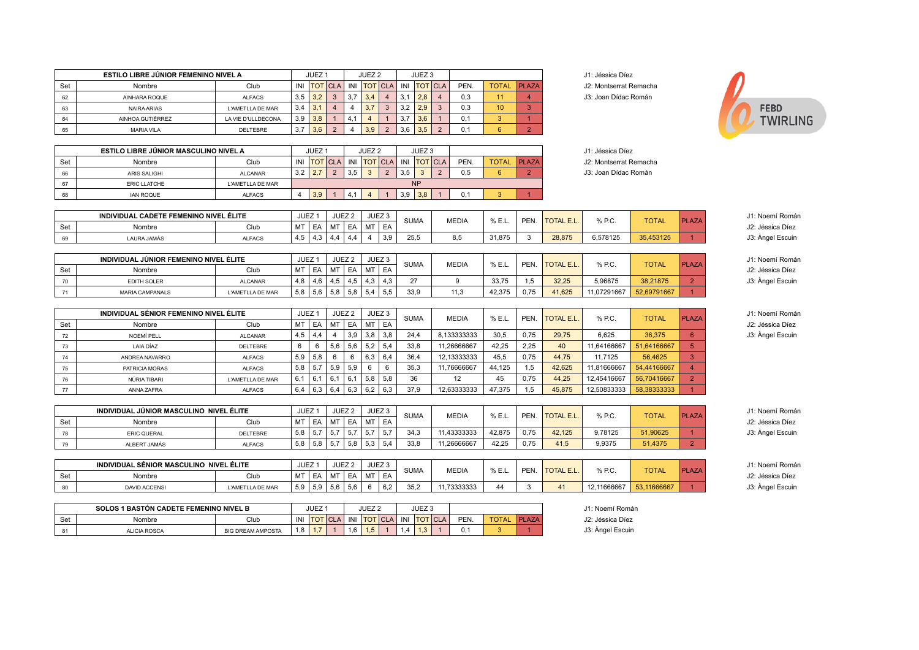|     | ESTILO LIBRE JÚNIOR FEMENINO NIVEL A    |                    |                   | JUEZ <sub>1</sub> |                |                   | JUEZ <sub>2</sub>    |                   | JUEZ <sub>3</sub>   |                |              |                  |                      |                   | J1: Jéssica Díez       |              |                |                  |
|-----|-----------------------------------------|--------------------|-------------------|-------------------|----------------|-------------------|----------------------|-------------------|---------------------|----------------|--------------|------------------|----------------------|-------------------|------------------------|--------------|----------------|------------------|
| Set | Nombre                                  | Club               | INI               |                   | <b>TOT</b> CLA | INI               |                      | <b>TOT</b> CLA    | INI TOT CLA         |                | PEN.         | <b>TOTAL</b>     | PLAZA                |                   | J2: Montserrat Remacha |              |                |                  |
| 62  | AINHARA ROQUE                           | <b>ALFACS</b>      | 3,5               | 3,2               | $\mathbf{3}$   | 3,7               | 3,4                  | $\overline{4}$    | 3,1<br>2,8          | $\overline{4}$ | 0,3          | 11               | 4 <sup>1</sup>       |                   | J3: Joan Dídac Román   |              |                |                  |
| 63  | <b>NAIRA ARIAS</b>                      | L'AMETLLA DE MAR   | 3,4               | 3,1               | $\overline{4}$ | $\overline{4}$    | 3,7                  | $\mathbf{3}$      | 3,2<br>2,9          | $\mathbf{3}$   | 0,3          | 10 <sup>10</sup> | 3 <sup>1</sup>       |                   |                        |              |                | <b>FEBD</b>      |
| 64  | AINHOA GUTIÉRREZ                        | LA VIE D'ULLDECONA | 3,9               | 3,8               | $\mathbf{1}$   | 4,1               | $\overline{4}$       | $\overline{1}$    | 3,7<br>3,6          | $\mathbf{1}$   | 0,1          | 3                | 1                    |                   |                        |              |                | <b>TWIRLING</b>  |
| 65  | <b>MARIA VILA</b>                       | DELTEBRE           | 3,7               | 3,6               | $\overline{2}$ | $\overline{4}$    | 3,9                  | $\overline{2}$    | 3,6<br>3,5          | $\overline{2}$ | 0,1          | $6^{\circ}$      | 2 <sup>1</sup>       |                   |                        |              |                |                  |
|     |                                         |                    |                   |                   |                |                   |                      |                   |                     |                |              |                  |                      |                   |                        |              |                |                  |
|     | ESTILO LIBRE JÚNIOR MASCULINO NIVEL A   |                    |                   | JUEZ <sub>1</sub> |                |                   | JUEZ <sub>2</sub>    |                   | JUEZ <sub>3</sub>   |                |              |                  |                      |                   | J1: Jéssica Díez       |              |                |                  |
| Set | Nombre                                  | Club               | INI               |                   | <b>TOT</b> CLA | INI               |                      | <b>TOT</b> CLA    | INI TOT CLA         |                | PEN.         | <b>TOTAL</b>     | PLAZA                |                   | J2: Montserrat Remacha |              |                |                  |
| 66  | <b>ARIS SALIGHI</b>                     | <b>ALCANAR</b>     | 3,2               | 2,7               | $\overline{2}$ | 3,5               | $\mathbf{3}$         | $\overline{2}$    | 3,5<br>$\mathbf{3}$ | $\overline{2}$ | 0,5          | $6^{\circ}$      | $\overline{2}$       |                   | J3: Joan Dídac Román   |              |                |                  |
| 67  | <b>ERIC LLATCHE</b>                     | L'AMETLLA DE MAR   |                   |                   |                |                   |                      |                   | NP                  |                |              |                  |                      |                   |                        |              |                |                  |
| 68  | <b>IAN ROQUE</b>                        | <b>ALFACS</b>      | $\overline{4}$    | 3,9               | $\mathbf{1}$   | 4,1               | $\overline{4}$       | $\overline{1}$    | 3,9<br>3,8          |                | 0,1          | 3                | $\blacktriangleleft$ |                   |                        |              |                |                  |
|     |                                         |                    |                   |                   |                |                   |                      |                   |                     |                |              |                  |                      |                   |                        |              |                |                  |
|     | INDIVIDUAL CADETE FEMENINO NIVEL ÉLITE  |                    |                   | JUEZ <sub>1</sub> |                | JUEZ <sub>2</sub> |                      | JUEZ <sub>3</sub> | <b>SUMA</b>         |                | <b>MEDIA</b> | % E.L.           | PEN.                 | <b>TOTAL E.L.</b> | % P.C.                 | <b>TOTAL</b> | <b>PLAZA</b>   | J1: Noemí Román  |
| Set | Nombre                                  | Club               | MT                | EA                | MT             | EA                | MT<br>$\overline{4}$ | EA                |                     |                |              |                  |                      |                   |                        |              |                | J2: Jéssica Díez |
| 69  | LAURA JAMÁS                             | <b>ALFACS</b>      | 4,5               | 4,3               | 4,4            | 4,4               |                      | 3,9               | 25,5                |                | 8,5          | 31,875           | 3                    | 28,875            | 6,578125               | 35,453125    |                | J3: Àngel Escuin |
|     | INDIVIDUAL JÚNIOR FEMENINO NIVEL ÉLITE  |                    |                   | JUEZ <sub>1</sub> |                | JUEZ <sub>2</sub> |                      | JUEZ <sub>3</sub> |                     |                |              |                  |                      |                   |                        |              |                | J1: Noemí Román  |
| Set | Nombre                                  | Club               | MT                | EA                | MT             | EA                |                      | MT EA             | <b>SUMA</b>         |                | <b>MEDIA</b> | % E.L.           | PEN.                 | <b>TOTAL E.L.</b> | % P.C.                 | <b>TOTAL</b> | <b>PLAZA</b>   | J2: Jéssica Díez |
| 70  | EDITH SOLER                             | <b>ALCANAR</b>     | 4,8               | 4,6               | 4,5            | 4,5               | 4,3                  | 4,3               | 27                  |                | 9            | 33,75            | 1,5                  | 32,25             | 5,96875                | 38,21875     | 2 <sup>1</sup> | J3: Angel Escuin |
| 71  | MARIA CAMPANALS                         | L'AMETLLA DE MAR   | 5,8               |                   | $5,6$ 5,8      | 5,8               | 5,4                  | 5,5               | 33,9                |                | 11,3         | 42,375           | 0,75                 | 41,625            | 11,07291667            | 52,69791667  |                |                  |
|     |                                         |                    |                   |                   |                |                   |                      |                   |                     |                |              |                  |                      |                   |                        |              |                |                  |
|     | INDIVIDUAL SÉNIOR FEMENINO NIVEL ÉLITE  |                    |                   | JUEZ <sub>1</sub> |                | JUEZ <sub>2</sub> |                      | JUEZ <sub>3</sub> |                     |                |              |                  |                      |                   |                        |              |                | J1: Noemí Román  |
| Set | Nombre                                  | Club               | MT                | EA                | MT             | EA                |                      | MT EA             | <b>SUMA</b>         |                | <b>MEDIA</b> | % E.L.           | PEN.                 | <b>TOTAL E.L.</b> | % P.C.                 | <b>TOTAL</b> | PLAZA          | J2: Jéssica Díez |
| 72  | NOEMÍ PELL                              | <b>ALCANAR</b>     | 4,5               | 4,4               | $\overline{4}$ | 3,9               | 3,8                  | 3,8               | 24,4                |                | 8,133333333  | 30,5             | 0,75                 | 29,75             | 6,625                  | 36,375       | 6              | J3: Angel Escuin |
| 73  | LAIA DÍAZ                               | DELTEBRE           | 6                 | 6                 | 5,6            | 5,6               | 5,2                  | 5,4               | 33,8                |                | 11,26666667  | 42,25            | 2,25                 | 40                | 11,64166667            | 51,64166667  | 5 <sup>5</sup> |                  |
| 74  | ANDREA NAVARRO                          | <b>ALFACS</b>      | 5,9               | 5,8               | 6              | 6                 | 6,3                  | 6,4               | 36,4                |                | 12,13333333  | 45,5             | 0,75                 | 44,75             | 11,7125                | 56,4625      | $\mathbf{3}$   |                  |
| 75  | PATRICIA MORAS                          | <b>ALFACS</b>      | 5,8               | 5,7               | 5,9            | 5,9               | 6                    | 6                 | 35.3                |                | 11,76666667  | 44,125           | 1,5                  | 42,625            | 11,81666667            | 54,44166667  | $\overline{4}$ |                  |
| 76  | NÚRIA TIBARI                            | L'AMETLLA DE MAR   | 6,1               | 6,1               | 6,1            | 6,1               | 5,8                  | 5,8               | 36                  |                | 12           | 45               | 0,75                 | 44,25             | 12,45416667            | 56,70416667  | 2              |                  |
| 77  | ANNA ZAFRA                              | <b>ALFACS</b>      | 6,4               | 6,3               | 6,4            | 6,3               | 6,2                  | 6,3               | 37,9                |                | 12,63333333  | 47,375           | 1,5                  | 45,875            | 12,50833333            | 58,38333333  |                |                  |
|     |                                         |                    |                   |                   |                |                   |                      |                   |                     |                |              |                  |                      |                   |                        |              |                |                  |
|     | INDIVIDUAL JÚNIOR MASCULINO NIVEL ÉLITE |                    |                   | JUEZ <sub>1</sub> |                | JUEZ <sub>2</sub> |                      | JUEZ <sub>3</sub> | <b>SUMA</b>         |                | <b>MEDIA</b> | % E.L.           | PEN.                 | <b>TOTAL E.L.</b> | % P.C.                 | <b>TOTAL</b> | <b>PLAZA</b>   | J1: Noemí Román  |
| Set | Nombre                                  | Club               | MT                | EA                | MT             | EA                |                      | MT EA             |                     |                |              |                  |                      |                   |                        |              |                | J2: Jéssica Díez |
| 78  | <b>ERIC QUERAL</b>                      | DELTEBRE           | 5,8               | 5,7               | 5,7            | 5,7               | 5,7                  | 5,7               | 34,3                |                | 11,43333333  | 42,875           | 0,75                 | 42,125            | 9,78125                | 51,90625     | $\mathbf{1}$   | J3: Àngel Escuin |
| 79  | ALBERT JAMÁS                            | <b>ALFACS</b>      | 5,8               | 5,8               | 5,7            | 5,8               | 5,3                  | 5,4               | 33,8                |                | 11,26666667  | 42,25            | 0,75                 | 41,5              | 9,9375                 | 51,4375      | 2 <sup>7</sup> |                  |
|     |                                         |                    |                   |                   |                |                   |                      |                   |                     |                |              |                  |                      |                   |                        |              |                |                  |
|     | INDIVIDUAL SÉNIOR MASCULINO NIVEL ÉLITE |                    | JUEZ <sub>1</sub> |                   |                | JUEZ <sub>2</sub> |                      | JUEZ <sub>3</sub> | <b>SUMA</b>         |                | <b>MEDIA</b> | % E.L.           | PEN.                 | <b>TOTAL E.L.</b> | % P.C.                 | <b>TOTAL</b> | PLAZA          | J1: Noemí Román  |
| Set | Nombre                                  | Club               | MT                | EA                | MT             | EA                |                      | MT EA             |                     |                |              |                  |                      |                   |                        |              |                | J2: Jéssica Díez |
| 80  | <b>DAVID ACCENSI</b>                    | L'AMETLLA DE MAR   | 5,9               | 5,9               | 5,6            | 5,6               | 6                    | 6,2               | 35,2                |                | 11,73333333  | 44               | 3                    | 41                | 12,11666667            | 53,11666667  |                | J3: Àngel Escuin |

|         | <b>SOLOS 1 BASTÓN CADETE FEMENINO NIVEL B</b> |                          |                | JUEZ       |                   |     | JUEZ <sub>2</sub> |                    |     | JUEZ <sub>3</sub>   |            |      |              |               | J1: Noemí Román            |
|---------|-----------------------------------------------|--------------------------|----------------|------------|-------------------|-----|-------------------|--------------------|-----|---------------------|------------|------|--------------|---------------|----------------------------|
| Set     | Nombre                                        | Club                     | INI            | <b>TOT</b> | <sup>-</sup> ICLA | INI | <b>TOT</b>        | CL<br>$\mathbf{v}$ | INI | $T\cap T$<br>$\cup$ | <b>CLA</b> | PEN. | <b>TOTAL</b> | <b>IPLAZA</b> | J2: Jéssica Díez           |
| $\circ$ | <b>ALICIA ROSCA</b>                           | <b>BIG DREAM AMPOSTA</b> | $\sim$<br>0. ا |            |                   | 1,6 | ں ا               |                    |     | ٠                   |            |      |              |               | $\sim$<br>J3: Angel Escuin |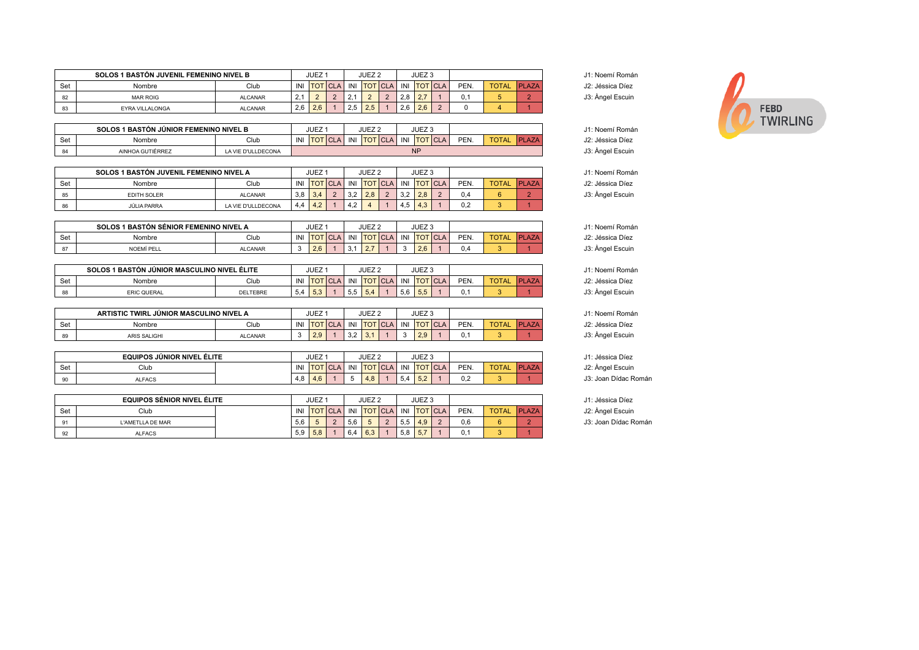|     | <b>SOLOS 1 BASTÓN JUVENIL FEMENINO NIVEL B</b> |                |                | JUEZ <sup>1</sup> |             | JUEZ <sub>2</sub> |     | JUEZ <sub>3</sub> |      |              |              |                  | J1: Noemí Román  |
|-----|------------------------------------------------|----------------|----------------|-------------------|-------------|-------------------|-----|-------------------|------|--------------|--------------|------------------|------------------|
| Set | Nombre                                         | INI            | <b>TOT CLA</b> |                   | INI TOTICLA |                   |     | INI TOT CLA       | PEN. | <b>TOTAL</b> | <b>PLAZA</b> | J2: Jéssica Díez |                  |
| 82  | 2.1<br><b>MAR ROIG</b><br><b>ALCANAR</b>       |                |                |                   | $\sim$      |                   | 2.8 | $\sim$ $\sim$     |      |              |              |                  | J3: Angel Escuin |
| 83  | EYRA VILLALONGA                                | <b>ALCANAR</b> | 2.6            | 2.6               | 2.5         |                   | 2.6 | 2.6               |      |              |              |                  |                  |

|     | <b>SOLOS 1 BASTÓN JÚNIOR FEMENINO NIVEL B</b> |                    |  | <b>JUEZ</b>    |     |                | JUEZ <sub>2</sub> |     |            | <b>ILIE7</b><br>JUEZ J |      |              |               |                  | J1: Noemí Román  |
|-----|-----------------------------------------------|--------------------|--|----------------|-----|----------------|-------------------|-----|------------|------------------------|------|--------------|---------------|------------------|------------------|
| Set | Nombre                                        | INI                |  | <b>TOT CLA</b> | INI | <b>TOTICLA</b> | $\Delta$          | INI | <b>TOT</b> | $T$ CLA                | PEN. | <b>TOTAL</b> | <b>IPLAZA</b> | J2: Jéssica Díez |                  |
|     | AINHOA GUTIÉRREZ                              | LA VIE D'ULLDECONA |  |                |     |                |                   |     |            |                        |      |              |               |                  | J3: Angel Escuin |

|     | SOLOS 1 BASTÓN JUVENIL FEMENINO NIVEL A |                    |     | JUEZ |                |                   | JUEZ <sub>2</sub> |          |     | JUEZ <sub>3</sub>          |                    |      |              |              | J1: Noemí Román  |
|-----|-----------------------------------------|--------------------|-----|------|----------------|-------------------|-------------------|----------|-----|----------------------------|--------------------|------|--------------|--------------|------------------|
| Set | Nombre                                  | Club               | INI |      | <b>TOT</b> CLA | INI               | <b>TOT CLA</b>    |          |     |                            | INI <b>TOT</b> CLA | PEN. | <b>TOTAL</b> | <b>PLAZA</b> | J2: Jéssica Díez |
|     | <b>EDITH SOLER</b><br><b>ALCANAR</b>    |                    | 3.8 | 3.4  |                | 22<br>ے.ت         | 2.8               | <u>.</u> | 3.2 | 2.8                        |                    | 0.4  |              |              | J3: Àngel Escuin |
|     | JÚLIA PARRA                             | LA VIE D'ULLDECONA | 4.4 | 4.2  |                | $\sqrt{2}$<br>4.Z |                   |          | 4.5 | $\Lambda$<br>$4.3^{\circ}$ |                    | 0,2  |              |              |                  |

|     | <b>SOLOS 1 BASTÓN SÉNIOR FEMENINO NIVEL A</b> |                |            | <b>JUEZ</b> |            | JUEZ <sub>2</sub>           |     |                | JUEZ <sub>3</sub> |              |                              |                  | J1: Noemí Román  |
|-----|-----------------------------------------------|----------------|------------|-------------|------------|-----------------------------|-----|----------------|-------------------|--------------|------------------------------|------------------|------------------|
| Set | Nombre                                        | INI            | <b>TOT</b> | INII        | <b>TOT</b> | $\Delta$<br>$-$             | INI | <b>TOT</b> CLA | PEN.              | <b>TOTAL</b> | Ini<br>$\Lambda$ 7 $\Lambda$ | 12: Jéssica Díez |                  |
|     | NOEMÍ PELL                                    | <b>ALCANAR</b> |            | 2.0         | J.I        | $\sim$ $\sim$<br>$\epsilon$ |     |                | 2.6               | ∪.∸          |                              |                  | J3: Àngel Escuin |

|     | SOLOS 1 BASTÓN JÚNIOR MASCULINO NIVEL ÉLITE |                 |            | <b>JUEZ</b> |     |           | JUEZ <sub>2</sub>              |    |                | JUEZ :     |      |              |                    |                                           | J1: Noemí Román  |
|-----|---------------------------------------------|-----------------|------------|-------------|-----|-----------|--------------------------------|----|----------------|------------|------|--------------|--------------------|-------------------------------------------|------------------|
| Set | Nombre                                      | INI             | <b>TOT</b> | <b>ICLA</b> | INI | <b>TO</b> | $\sim$<br>$\mathbf{v}$<br>ハンレと | IN | <b>TOT</b>     | <b>CLA</b> | PEN. | <b>TOTAL</b> | AZA'<br><b>IPI</b> | <sup>2</sup> : Jéssica Díez<br>ה ו<br>JZ. |                  |
| 88  | <b>ERIC QUERAL</b>                          | <b>DELTEBRE</b> | 5,4        | <b>.53</b>  |     | ິບ.ປ      | 5,4                            |    | $ \sim$<br>5,6 | ິບ.ບ       |      |              |                    |                                           | J3: Angel Escuin |

|           | ARTISTIC TWIRL JÚNIOR MASCULINO NIVEL A |                |         | <b>JUEZ</b>   |     |               | JUEZ :                |     |     | JUEZ <sub>3</sub>            |      |              |                                  |                  | J1: Noemí Román                             |
|-----------|-----------------------------------------|----------------|---------|---------------|-----|---------------|-----------------------|-----|-----|------------------------------|------|--------------|----------------------------------|------------------|---------------------------------------------|
| <b>Se</b> | Nombre                                  | INI            | $\sim$  | $\sim$<br>L/L | INI | <b>TOT</b>    | $\sim$<br><b>IULA</b> | INI |     | <b>ICLA</b>                  | PEN. | <b>TOTAL</b> | $\lambda$ 7 $\Lambda$<br>1 - 1 I | J2: Jéssica Díez |                                             |
|           | ARIS SALIGHI                            | <b>ALCANAR</b> | $\cdot$ | 2.9           |     | $\mathcal{L}$ | $\ddotsc$             |     | . . | $\sim$ $\sim$<br>.<br>$\sim$ |      | 0.1          |                                  |                  | $\cdot$ $\circ$ $\cdot$<br>J3: Angel Escuin |

|     | EQUIPOS JÚNIOR NIVEL ÉLITE |              |                  | <b>JUEZ</b> |            | JUEZ <sub>2</sub>     |     |            | $111 - 7$<br>JUEZ 3 |      |              |                  |                  | $J1$ :<br>Jéssica Díez |
|-----|----------------------------|--------------|------------------|-------------|------------|-----------------------|-----|------------|---------------------|------|--------------|------------------|------------------|------------------------|
| Set | Club                       | <b>IN 11</b> | <b>TOTICLA</b> , | INI         | <b>TOT</b> | $\lceil$ CLA $\rceil$ | INI | <b>TOT</b> | <b>ICLA</b>         | PEN. | <b>TOTAL</b> | LAZA<br>$\Gamma$ | J2: Àngel Escuin |                        |
| 90  | <b>ALFACS</b>              | 4.8          |                  | 4.6         | ັ          | 4.8                   |     | - 5.4      | $ \sim$<br>ے, ت     |      | v.z          |                  |                  | Joan Dídac Ro<br>J3:   |

|     | <b>EQUIPOS SÉNIOR NIVEL ÉLITE</b> |     |                | JUEZ <sup>+</sup> |     | JUEZ <sub>2</sub> |     |     | JUEZ <sub>3</sub> |      |              |               |                  | J1: Jéssica Díez  |
|-----|-----------------------------------|-----|----------------|-------------------|-----|-------------------|-----|-----|-------------------|------|--------------|---------------|------------------|-------------------|
| Set | Club                              | INI | <b>TOT CLA</b> |                   |     | INI TOT CLA       | INI |     | <b>TOT</b> CLA    | PEN. | <b>TOTAL</b> | <b>IPLAZA</b> | J2: Àngel Escuin |                   |
| 91  | L'AMETLLA DE MAR                  |     | 5.6            |                   | 5.6 |                   |     | 5.5 | 4.9               |      |              |               |                  | J3: Joan Dídac Ro |
| 92  | <b>ALFACS</b>                     |     | 5,9            | 5,8               | 6,4 | 6.3               |     | 5.8 | 5.7               |      |              |               |                  |                   |

| loemí Román |
|-------------|
| éssica Díez |
| ngel Escuin |

|  | J1: Noemí Romá   |
|--|------------------|
|  | J2: Jéssica Díez |
|  | J3: Angel Escuin |

| J1: Noemí Román  |
|------------------|
| J2: Jéssica Díez |
| J3: Angel Escuin |
|                  |
| J1: Noemí Román  |
| J2: Jéssica Díez |
| J3: Angel Escuin |
|                  |
|                  |

- 
- J1: Jéssica Díez<br>J2: Àngel Escuin J3: Joan Dídac Román

J3: Joan Dídac Román